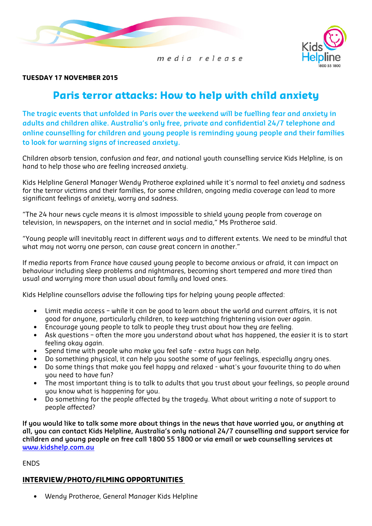



## TUESDAY 17 NOVEMBER 2015

## Paris terror attacks: How to help with child anxiety

The tragic events that unfolded in Paris over the weekend will be fuelling fear and anxiety in adults and children alike. Australia's only free, private and confidential 24/7 telephone and online counselling for children and young people is reminding young people and their families to look for warning signs of increased anxiety.

Children absorb tension, confusion and fear, and national youth counselling service Kids Helpline, is on hand to help those who are feeling increased anxiety.

Kids Helpline General Manager Wendy Protheroe explained while it's normal to feel anxiety and sadness for the terror victims and their families, for some children, ongoing media coverage can lead to more significant feelings of anxiety, worry and sadness.

"The 24 hour news cycle means it is almost impossible to shield young people from coverage on television, in newspapers, on the internet and in social media," Ms Protheroe said.

"Young people will inevitably react in different ways and to different extents. We need to be mindful that what may not worry one person, can cause great concern in another."

If media reports from France have caused young people to become anxious or afraid, it can impact on behaviour including sleep problems and nightmares, becoming short tempered and more tired than usual and worrying more than usual about family and loved ones.

Kids Helpline counsellors advise the following tips for helping young people affected:

- Limit media access while it can be good to learn about the world and current affairs, it is not good for anyone, particularly children, to keep watching frightening vision over again.
- Encourage young people to talk to people they trust about how they are feeling.
- Ask questions often the more you understand about what has happened, the easier it is to start feeling okay again.
- Spend time with people who make you feel safe extra hugs can help.
- Do something physical, it can help you soothe some of your feelings, especially angry ones.
- Do some things that make you feel happy and relaxed what's your favourite thing to do when you need to have fun?
- The most important thing is to talk to adults that you trust about your feelings, so people around you know what is happening for you.
- Do something for the people affected by the tragedy. What about writing a note of support to people affected?

If you would like to talk some more about things in the news that have worried you, or anything at all, you can contact Kids Helpline, Australia's only national 24/7 counselling and support service for children and young people on free call 1800 55 1800 or via email or web counselling services at www.kidshelp.com.au

ENDS

## INTERVIEW/PHOTO/FILMING OPPORTUNITIES

• Wendy Protheroe, General Manager Kids Helpline